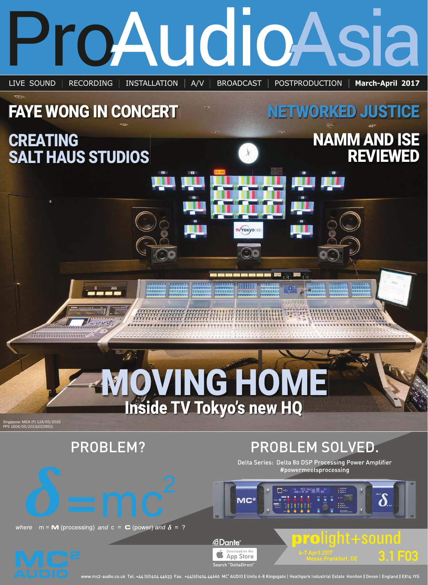

wv.mc2-audio.co.uk Tel. +44 (0)1404 44633 Fax. +44(0)1404 44660 MC<sup>2</sup> AUDIO | Units 6-8 Kingsgate | Heathpark Industrial Estate Honiton | Devon | England | EX14 1YG